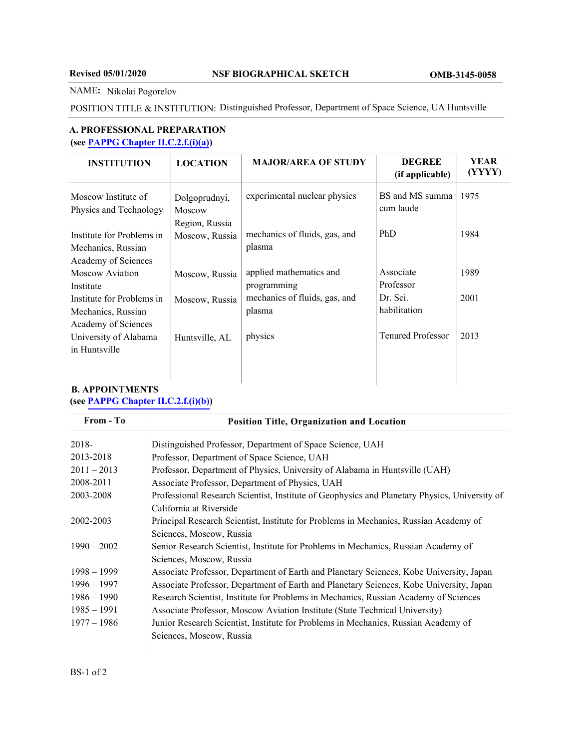#### NAME**:** Nikolai Pogorelov

POSITION TITLE & INSTITUTION: Distinguished Professor, Department of Space Science, UA Huntsville

### **A. PROFESSIONAL PREPARATION (see [PAPPG Chapter II.C.2.f.\(i\)\(a\)](https://www.nsf.gov/pubs/policydocs/pappg20_1/pappg_2.jsp#IIC2fia))**

| <b>INSTITUTION</b>                                                     | <b>LOCATION</b>                           | <b>MAJOR/AREA OF STUDY</b>              | <b>DEGREE</b><br>(if applicable) | <b>YEAR</b><br>(YYYY) |
|------------------------------------------------------------------------|-------------------------------------------|-----------------------------------------|----------------------------------|-----------------------|
| Moscow Institute of<br>Physics and Technology                          | Dolgoprudnyi,<br>Moscow<br>Region, Russia | experimental nuclear physics            | BS and MS summa<br>cum laude     | 1975                  |
| Institute for Problems in<br>Mechanics, Russian<br>Academy of Sciences | Moscow, Russia                            | mechanics of fluids, gas, and<br>plasma | PhD                              | 1984                  |
| Moscow Aviation<br>Institute                                           | Moscow, Russia                            | applied mathematics and<br>programming  | Associate<br>Professor           | 1989                  |
| Institute for Problems in<br>Mechanics, Russian<br>Academy of Sciences | Moscow, Russia                            | mechanics of fluids, gas, and<br>plasma | Dr. Sci.<br>habilitation         | 2001                  |
| University of Alabama<br>in Huntsville                                 | Huntsville, AL                            | physics                                 | <b>Tenured Professor</b>         | 2013                  |

# **B. APPOINTMENTS**

## **(see [PAPPG Chapter II.C.2.f.\(i\)\(b\)\)](https://www.nsf.gov/pubs/policydocs/pappg20_1/pappg_2.jsp#IIC2fib)**

| From - To     | Position Title, Organization and Location                                                     |  |  |
|---------------|-----------------------------------------------------------------------------------------------|--|--|
| $2018 -$      | Distinguished Professor, Department of Space Science, UAH                                     |  |  |
| 2013-2018     | Professor, Department of Space Science, UAH                                                   |  |  |
| $2011 - 2013$ | Professor, Department of Physics, University of Alabama in Huntsville (UAH)                   |  |  |
| 2008-2011     | Associate Professor, Department of Physics, UAH                                               |  |  |
| 2003-2008     | Professional Research Scientist, Institute of Geophysics and Planetary Physics, University of |  |  |
|               | California at Riverside                                                                       |  |  |
| 2002-2003     | Principal Research Scientist, Institute for Problems in Mechanics, Russian Academy of         |  |  |
|               | Sciences, Moscow, Russia                                                                      |  |  |
| $1990 - 2002$ | Senior Research Scientist, Institute for Problems in Mechanics, Russian Academy of            |  |  |
|               | Sciences, Moscow, Russia                                                                      |  |  |
| $1998 - 1999$ | Associate Professor, Department of Earth and Planetary Sciences, Kobe University, Japan       |  |  |
| $1996 - 1997$ | Associate Professor, Department of Earth and Planetary Sciences, Kobe University, Japan       |  |  |
| $1986 - 1990$ | Research Scientist, Institute for Problems in Mechanics, Russian Academy of Sciences          |  |  |
| $1985 - 1991$ | Associate Professor, Moscow Aviation Institute (State Technical University)                   |  |  |
| $1977 - 1986$ | Junior Research Scientist, Institute for Problems in Mechanics, Russian Academy of            |  |  |
|               | Sciences, Moscow, Russia                                                                      |  |  |
|               |                                                                                               |  |  |
|               |                                                                                               |  |  |